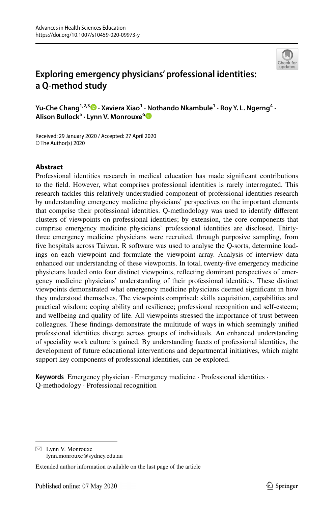

# **Exploring emergency physicians' professional identities: a Q‑method study**

**Yu-CheChang** $^{1,2,3}$  $\bullet$  $\cdot$  **Xaviera Xiao** $^1$  $\cdot$  **Nothando Nkambule** $^1$  $\cdot$  **Roy Y. L. Ngerng** $^4$  $\cdot$ **Alison Bullock5 · Lynn V. Monrouxe[6](http://orcid.org/0000-0002-4895-1812)**

Received: 29 January 2020 / Accepted: 27 April 2020 © The Author(s) 2020

## **Abstract**

Professional identities research in medical education has made signifcant contributions to the feld. However, what comprises professional identities is rarely interrogated. This research tackles this relatively understudied component of professional identities research by understanding emergency medicine physicians' perspectives on the important elements that comprise their professional identities. Q-methodology was used to identify diferent clusters of viewpoints on professional identities; by extension, the core components that comprise emergency medicine physicians' professional identities are disclosed. Thirtythree emergency medicine physicians were recruited, through purposive sampling, from fve hospitals across Taiwan. R software was used to analyse the Q-sorts, determine loadings on each viewpoint and formulate the viewpoint array. Analysis of interview data enhanced our understanding of these viewpoints. In total, twenty-fve emergency medicine physicians loaded onto four distinct viewpoints, refecting dominant perspectives of emergency medicine physicians' understanding of their professional identities. These distinct viewpoints demonstrated what emergency medicine physicians deemed signifcant in how they understood themselves. The viewpoints comprised: skills acquisition, capabilities and practical wisdom; coping ability and resilience; professional recognition and self-esteem; and wellbeing and quality of life. All viewpoints stressed the importance of trust between colleagues. These fndings demonstrate the multitude of ways in which seemingly unifed professional identities diverge across groups of individuals. An enhanced understanding of speciality work culture is gained. By understanding facets of professional identities, the development of future educational interventions and departmental initiatives, which might support key components of professional identities, can be explored.

**Keywords** Emergency physician · Emergency medicine · Professional identities · Q-methodology · Professional recognition

 $\boxtimes$  Lynn V. Monrouxe lynn.monrouxe@sydney.edu.au

Extended author information available on the last page of the article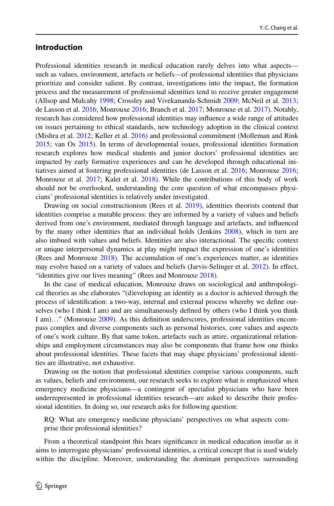## **Introduction**

Professional identities research in medical education rarely delves into what aspects such as values, environment, artefacts or beliefs—of professional identities that physicians prioritize and consider salient. By contrast, investigations into the impact, the formation process and the measurement of professional identities tend to receive greater engagement (Allsop and Mulcahy [1998;](#page-18-0) Crossley and Vivekananda-Schmidt [2009;](#page-18-1) McNeil et al. [2013;](#page-19-0) de Lasson et al. [2016;](#page-19-1) Monrouxe [2016](#page-19-2); Branch et al. [2017](#page-18-2); Monrouxe et al. [2017\)](#page-20-0). Notably, research has considered how professional identities may infuence a wide range of attitudes on issues pertaining to ethical standards, new technology adoption in the clinical context (Mishra et al. [2012;](#page-19-3) Keller et al. [2016](#page-19-4)) and professional commitment (Molleman and Rink [2015;](#page-19-5) van Os [2015](#page-20-1)). In terms of developmental issues, professional identities formation research explores how medical students and junior doctors' professional identities are impacted by early formative experiences and can be developed through educational initiatives aimed at fostering professional identities (de Lasson et al. [2016;](#page-19-1) Monrouxe [2016;](#page-19-2) Monrouxe et al. [2017](#page-20-0); Kalet et al. [2018\)](#page-19-6). While the contributions of this body of work should not be overlooked, understanding the core question of what encompasses physicians' professional identities is relatively under investigated.

Drawing on social constructionism (Rees et al. [2019\)](#page-20-2), identities theorists contend that identities comprise a mutable process: they are informed by a variety of values and beliefs derived from one's environment, mediated through language and artefacts, and infuenced by the many other identities that an individual holds (Jenkins [2008](#page-19-7)), which in turn are also imbued with values and beliefs. Identities are also interactional. The specifc context or unique interpersonal dynamics at play might impact the expression of one's identities (Rees and Monrouxe [2018\)](#page-20-3). The accumulation of one's experiences matter, as identities may evolve based on a variety of values and beliefs (Jarvis-Selinger et al. [2012](#page-19-8)). In efect, "identities give our lives meaning" (Rees and Monrouxe [2018\)](#page-20-3).

In the case of medical education, Monrouxe draws on sociological and anthropological theories as she elaborates "(d)eveloping an identity as a doctor is achieved through the process of identifcation: a two-way, internal and external process whereby we defne ourselves (who I think I am) and are simultaneously defned by others (who I think you think I am)…" (Monrouxe [2009\)](#page-19-9). As this defnition underscores, professional identities encompass complex and diverse components such as personal histories, core values and aspects of one's work culture. By that same token, artefacts such as attire, organizational relationships and employment circumstances may also be components that frame how one thinks about professional identities. These facets that may shape physicians' professional identities are illustrative, not exhaustive.

Drawing on the notion that professional identities comprise various components, such as values, beliefs and environment, our research seeks to explore what is emphasized when emergency medicine physicians—a contingent of specialist physicians who have been underrepresented in professional identities research—are asked to describe their professional identities. In doing so, our research asks for following question:

RQ: What are emergency medicine physicians' perspectives on what aspects comprise their professional identities?

From a theoretical standpoint this bears signifcance in medical education insofar as it aims to interrogate physicians' professional identities, a critical concept that is used widely within the discipline. Moreover, understanding the dominant perspectives surrounding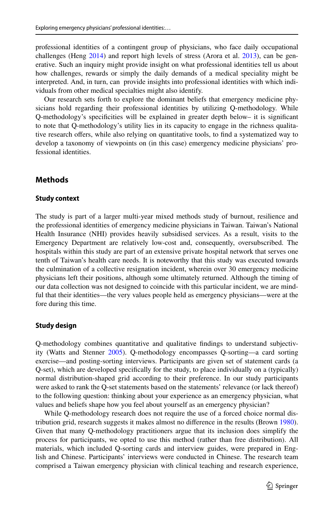professional identities of a contingent group of physicians, who face daily occupational challenges (Heng [2014](#page-19-10)) and report high levels of stress (Arora et al. [2013\)](#page-18-3), can be generative. Such an inquiry might provide insight on what professional identities tell us about how challenges, rewards or simply the daily demands of a medical speciality might be interpreted. And, in turn, can provide insights into professional identities with which individuals from other medical specialties might also identify.

Our research sets forth to explore the dominant beliefs that emergency medicine physicians hold regarding their professional identities by utilizing Q-methodology. While Q-methodology's specifcities will be explained in greater depth below– it is signifcant to note that Q-methodology's utility lies in its capacity to engage in the richness qualitative research ofers, while also relying on quantitative tools, to fnd a systematized way to develop a taxonomy of viewpoints on (in this case) emergency medicine physicians' professional identities.

## **Methods**

#### **Study context**

The study is part of a larger multi-year mixed methods study of burnout, resilience and the professional identities of emergency medicine physicians in Taiwan. Taiwan's National Health Insurance (NHI) provides heavily subsidised services. As a result, visits to the Emergency Department are relatively low-cost and, consequently, oversubscribed. The hospitals within this study are part of an extensive private hospital network that serves one tenth of Taiwan's health care needs. It is noteworthy that this study was executed towards the culmination of a collective resignation incident, wherein over 30 emergency medicine physicians left their positions, although some ultimately returned. Although the timing of our data collection was not designed to coincide with this particular incident, we are mindful that their identities—the very values people held as emergency physicians—were at the fore during this time.

#### **Study design**

Q-methodology combines quantitative and qualitative fndings to understand subjectivity (Watts and Stenner [2005](#page-20-4)). Q-methodology encompasses Q-sorting—a card sorting exercise—and posting-sorting interviews. Participants are given set of statement cards (a Q-set), which are developed specifcally for the study, to place individually on a (typically) normal distribution-shaped grid according to their preference. In our study participants were asked to rank the Q-set statements based on the statements' relevance (or lack thereof) to the following question: thinking about your experience as an emergency physician, what values and beliefs shape how you feel about yourself as an emergency physician?

While Q-methodology research does not require the use of a forced choice normal distribution grid, research suggests it makes almost no diference in the results (Brown [1980](#page-18-4)). Given that many Q-methodology practitioners argue that its inclusion does simplify the process for participants, we opted to use this method (rather than free distribution). All materials, which included Q-sorting cards and interview guides, were prepared in English and Chinese. Participants' interviews were conducted in Chinese. The research team comprised a Taiwan emergency physician with clinical teaching and research experience,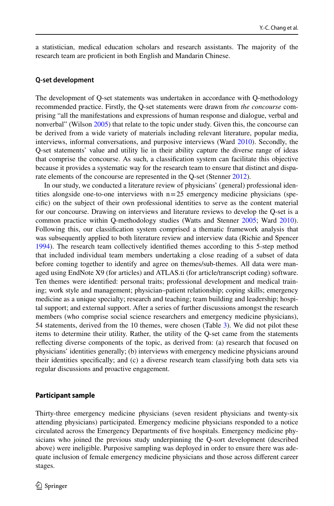a statistician, medical education scholars and research assistants. The majority of the research team are profcient in both English and Mandarin Chinese.

#### **Q‑set development**

The development of Q-set statements was undertaken in accordance with Q-methodology recommended practice. Firstly, the Q-set statements were drawn from *the concourse* comprising "all the manifestations and expressions of human response and dialogue, verbal and nonverbal" (Wilson [2005](#page-20-5)) that relate to the topic under study. Given this, the concourse can be derived from a wide variety of materials including relevant literature, popular media, interviews, informal conversations, and purposive interviews (Ward [2010\)](#page-20-6). Secondly, the Q-set statements' value and utility lie in their ability capture the diverse range of ideas that comprise the concourse. As such, a classifcation system can facilitate this objective because it provides a systematic way for the research team to ensure that distinct and dispa-rate elements of the concourse are represented in the Q-set (Stenner [2012\)](#page-20-7).

In our study, we conducted a literature review of physicians' (general) professional identities alongside one-to-one interviews with  $n=25$  emergency medicine physicians (specifc) on the subject of their own professional identities to serve as the content material for our concourse. Drawing on interviews and literature reviews to develop the Q-set is a common practice within Q-methodology studies (Watts and Stenner [2005](#page-20-4); Ward [2010](#page-20-6)). Following this, our classifcation system comprised a thematic framework analysis that was subsequently applied to both literature review and interview data (Richie and Spencer [1994\)](#page-20-8). The research team collectively identifed themes according to this 5-step method that included individual team members undertaking a close reading of a subset of data before coming together to identify and agree on themes/sub-themes. All data were managed using EndNote X9 (for articles) and ATLAS.ti (for article/transcript coding) software. Ten themes were identifed: personal traits; professional development and medical training; work style and management; physician–patient relationship; coping skills; emergency medicine as a unique specialty; research and teaching; team building and leadership; hospital support; and external support. After a series of further discussions amongst the research members (who comprise social science researchers and emergency medicine physicians), 54 statements, derived from the 10 themes, were chosen (Table [3\)](#page-7-0). We did not pilot these items to determine their utility. Rather, the utility of the Q-set came from the statements refecting diverse components of the topic, as derived from: (a) research that focused on physicians' identities generally; (b) interviews with emergency medicine physicians around their identities specifcally; and (c) a diverse research team classifying both data sets via regular discussions and proactive engagement.

#### **Participant sample**

Thirty-three emergency medicine physicians (seven resident physicians and twenty-six attending physicians) participated. Emergency medicine physicians responded to a notice circulated across the Emergency Departments of fve hospitals. Emergency medicine physicians who joined the previous study underpinning the Q-sort development (described above) were ineligible. Purposive sampling was deployed in order to ensure there was adequate inclusion of female emergency medicine physicians and those across diferent career stages.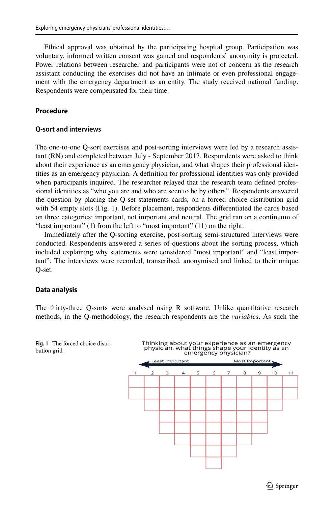Ethical approval was obtained by the participating hospital group. Participation was voluntary, informed written consent was gained and respondents' anonymity is protected. Power relations between researcher and participants were not of concern as the research assistant conducting the exercises did not have an intimate or even professional engagement with the emergency department as an entity. The study received national funding. Respondents were compensated for their time.

## **Procedure**

#### **Q‑sort and interviews**

The one-to-one Q-sort exercises and post-sorting interviews were led by a research assistant (RN) and completed between July - September 2017. Respondents were asked to think about their experience as an emergency physician, and what shapes their professional identities as an emergency physician. A defnition for professional identities was only provided when participants inquired. The researcher relayed that the research team defned professional identities as "who you are and who are seen to be by others". Respondents answered the question by placing the Q-set statements cards, on a forced choice distribution grid with 54 empty slots (Fig. [1](#page-4-0)). Before placement, respondents diferentiated the cards based on three categories: important, not important and neutral. The grid ran on a continuum of "least important" (1) from the left to "most important" (11) on the right.

Immediately after the Q-sorting exercise, post-sorting semi-structured interviews were conducted. Respondents answered a series of questions about the sorting process, which included explaining why statements were considered "most important" and "least important". The interviews were recorded, transcribed, anonymised and linked to their unique Q-set.

## **Data analysis**

The thirty-three Q-sorts were analysed using R software. Unlike quantitative research methods, in the Q-methodology, the research respondents are the *variables*. As such the



<span id="page-4-0"></span>**Fig. 1** The forced choice distribution grid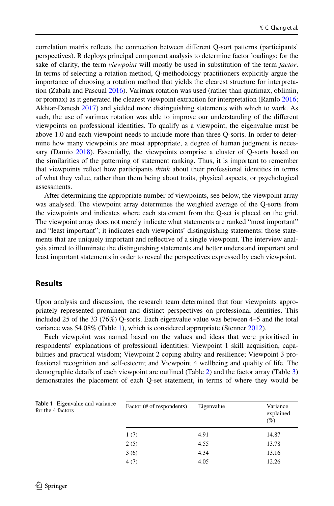correlation matrix refects the connection between diferent Q-sort patterns (participants' perspectives). R deploys principal component analysis to determine factor loadings: for the sake of clarity, the term *viewpoint* will mostly be used in substitution of the term *factor*. In terms of selecting a rotation method, Q-methodology practitioners explicitly argue the importance of choosing a rotation method that yields the clearest structure for interpretation (Zabala and Pascual [2016](#page-20-9)). Varimax rotation was used (rather than quatimax, oblimin, or promax) as it generated the clearest viewpoint extraction for interpretation (Ramlo [2016;](#page-20-10) Akhtar-Danesh [2017](#page-18-5)) and yielded more distinguishing statements with which to work. As such, the use of varimax rotation was able to improve our understanding of the diferent viewpoints on professional identities. To qualify as a viewpoint, the eigenvalue must be above 1.0 and each viewpoint needs to include more than three Q-sorts. In order to determine how many viewpoints are most appropriate, a degree of human judgment is necessary (Damio [2018\)](#page-18-6). Essentially, the viewpoints comprise a cluster of Q-sorts based on the similarities of the patterning of statement ranking. Thus, it is important to remember that viewpoints refect how participants *think* about their professional identities in terms of what they value, rather than them being about traits, physical aspects, or psychological assessments.

After determining the appropriate number of viewpoints, see below, the viewpoint array was analysed. The viewpoint array determines the weighted average of the Q-sorts from the viewpoints and indicates where each statement from the Q-set is placed on the grid. The viewpoint array does not merely indicate what statements are ranked "most important" and "least important"; it indicates each viewpoints' distinguishing statements: those statements that are uniquely important and refective of a single viewpoint. The interview analysis aimed to illuminate the distinguishing statements and better understand important and least important statements in order to reveal the perspectives expressed by each viewpoint.

## **Results**

Upon analysis and discussion, the research team determined that four viewpoints appropriately represented prominent and distinct perspectives on professional identities. This included 25 of the 33 (76%) Q-sorts. Each eigenvalue value was between 4–5 and the total variance was 54.08% (Table [1\)](#page-5-0), which is considered appropriate (Stenner [2012](#page-20-7)).

Each viewpoint was named based on the values and ideas that were prioritised in respondents' explanations of professional identities: Viewpoint 1 skill acquisition, capabilities and practical wisdom; Viewpoint 2 coping ability and resilience; Viewpoint 3 professional recognition and self-esteem; and Viewpoint 4 wellbeing and quality of life. The demographic details of each viewpoint are outlined (Table [2\)](#page-6-0) and the factor array (Table [3](#page-7-0)) demonstrates the placement of each Q-set statement, in terms of where they would be

<span id="page-5-0"></span>

| Table 1 Eigenvalue and variance<br>for the 4 factors | Factor (# of respondents) | Eigenvalue | Variance<br>explained<br>(% ) |
|------------------------------------------------------|---------------------------|------------|-------------------------------|
|                                                      | 1(7)                      | 4.91       | 14.87                         |
|                                                      | 2(5)                      | 4.55       | 13.78                         |
|                                                      | 3(6)                      | 4.34       | 13.16                         |
|                                                      | 4(7)                      | 4.05       | 12.26                         |
|                                                      |                           |            |                               |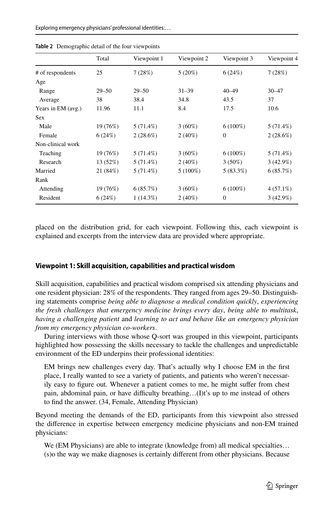|                    | Total     | Viewpoint 1 | Viewpoint 2 | Viewpoint 3  | Viewpoint 4 |
|--------------------|-----------|-------------|-------------|--------------|-------------|
| # of respondents   | 25        | 7(28%)      | 5(20%)      | 6(24%)       | 7(28%)      |
| Age                |           |             |             |              |             |
| Range              | $29 - 50$ | $29 - 50$   | $31 - 39$   | $40 - 49$    | $30 - 47$   |
| Average            | 38        | 38.4        | 34.8        | 43.5         | 37          |
| Years in EM (avg.) | 11.96     | 11.1        | 8.4         | 17.5         | 10.6        |
| <b>Sex</b>         |           |             |             |              |             |
| Male               | 19 (76%)  | $5(71.4\%)$ | $3(60\%)$   | $6(100\%)$   | $5(71.4\%)$ |
| Female             | 6(24%)    | $2(28.6\%)$ | $2(40\%)$   | $\mathbf{0}$ | $2(28.6\%)$ |
| Non-clinical work  |           |             |             |              |             |
| Teaching           | 19 (76%)  | $5(71.4\%)$ | $3(60\%)$   | $6(100\%)$   | $5(71.4\%)$ |
| Research           | 13 (52%)  | $5(71.4\%)$ | $2(40\%)$   | $3(50\%)$    | $3(42.9\%)$ |
| Married            | 21 (84%)  | $5(71.4\%)$ | $5(100\%)$  | 5(83.3%)     | 6(85.7%)    |
| Rank               |           |             |             |              |             |
| Attending          | 19 (76%)  | 6(85.7%)    | $3(60\%)$   | $6(100\%)$   | $4(57.1\%)$ |
| Resident           | 6(24%)    | $1(14.3\%)$ | $2(40\%)$   | $\mathbf{0}$ | 3(42.9%)    |

<span id="page-6-0"></span>**Table 2** Demographic detail of the four viewpoints

placed on the distribution grid, for each viewpoint. Following this, each viewpoint is explained and excerpts from the interview data are provided where appropriate.

#### **Viewpoint 1: Skill acquisition, capabilities and practical wisdom**

Skill acquisition, capabilities and practical wisdom comprised six attending physicians and one resident physician: 28% of the respondents. They ranged from ages 29–50. Distinguishing statements comprise *being able to diagnose a medical condition quickly*, *experiencing the fresh challenges that emergency medicine brings every day*, *being able to multitask*, *having a challenging patient* and *learning to act and behave like an emergency physician from my emergency physician co*-*workers*.

During interviews with those whose Q-sort was grouped in this viewpoint, participants highlighted how possessing the skills necessary to tackle the challenges and unpredictable environment of the ED underpins their professional identities:

EM brings new challenges every day. That's actually why I choose EM in the frst place, I really wanted to see a variety of patients, and patients who weren't necessarily easy to fgure out. Whenever a patient comes to me, he might sufer from chest pain, abdominal pain, or have difficulty breathing... $(I)t$ 's up to me instead of others to fnd the answer. (34, Female, Attending Physician)

Beyond meeting the demands of the ED, participants from this viewpoint also stressed the diference in expertise between emergency medicine physicians and non-EM trained physicians:

We (EM Physicians) are able to integrate (knowledge from) all medical specialties... (s)o the way we make diagnoses is certainly diferent from other physicians. Because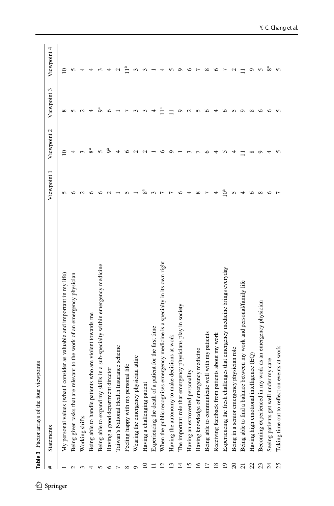|                 | <b>Statements</b>                                                               | Viewpoint 1      | Viewpoint 2 | Viewpoint 3     | Viewpoint 4 |
|-----------------|---------------------------------------------------------------------------------|------------------|-------------|-----------------|-------------|
|                 | My personal values (what I consider as valuable and important in my life)       | 5                | ≘           | $\infty$        | ≘           |
|                 | levant to the work of an emergency physician<br>Being given tasks that are rel  | ∽                | 4           | n               | n           |
|                 | Working shifts                                                                  |                  |             |                 | 4           |
|                 | Being able to handle patients who are violent towards me                        | ≌                | ಹೆ          |                 |             |
| 5               | Its in a sub-specialty within emergency medicine<br>Being able to expand my ski |                  |             | õ               |             |
| $\circ$         | Having a good department director                                               |                  | õ           | €               |             |
| $\overline{r}$  | Taiwan's National Health Insurance scheme                                       |                  | 4           |                 |             |
| $\infty$        | Feeling happy with my personal life                                             |                  | ७           |                 |             |
| $\circ$         | Wearing the emergency physician attire                                          |                  |             | $\sim$          |             |
| $\overline{10}$ | Having a challenging patient                                                    | ಹೆ               |             | 3               |             |
|                 | Experiencing the death of a patient for the first time                          |                  |             |                 |             |
| 12              | When the public recognises emergency medicine is a specialty in its own right   |                  |             | $\frac{a}{1}$   | 4           |
| $\mathbf{r}$    | Having the autonomy to make decisions at work                                   | Γ                |             |                 | n           |
| $\overline{1}$  | The important role that emergency physicians play in society                    | ७                |             | ٥               |             |
| 15              | Having an extroverted personality                                               | 4                |             | $\mathbf{\sim}$ | €           |
| 16              | Having knowledge of emergency medicine                                          | $\infty$         |             |                 |             |
| $\overline{17}$ | Being able to communicate well with my patients                                 | $\overline{ }$   |             | ≌               | $\infty$    |
| 18              | Receiving feedback from patients about my work                                  | 4                | 4           | 4               | ७           |
| $\overline{19}$ | Experiencing the fresh challenges that emergency medicine brings everyday       | $\sum_{i=1}^{n}$ |             | ∽               |             |
| $20$            | physician role<br>Being in a senior emergency                                   | $\sqrt{ }$       |             | $\sqrt{ }$      |             |
| $\overline{c}$  | between my work and personal/family life<br>Being able to find a balance        | 4                |             | ◦               |             |
| 22              | igence (EQ)<br>Having high emotional intell                                     | ७                | $^{\circ}$  | $\infty$        | ٥           |
| 23              | Becoming experienced in my work as an emergency physician                       | $\infty$         | ۰           | ७               | 5           |
| 24              | Seeing patients get well under my care                                          | ७                | 4           | ℃               | ಹಿ          |
| 25              | events at work<br>Taking time out to reflect on                                 |                  |             |                 |             |

<span id="page-7-0"></span>Table 3 Factor arrays of the four viewpoints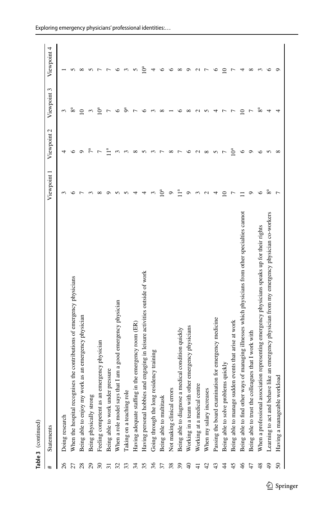|                | Table 3 (continued)                                                                                |             |              |                 |                             |
|----------------|----------------------------------------------------------------------------------------------------|-------------|--------------|-----------------|-----------------------------|
| $\ddagger$     | Statements                                                                                         | Viewpoint 1 | Viewpoint 2  | Viewpoint 3     | Viewpoint 4                 |
| 26             | Doing research                                                                                     |             |              |                 |                             |
| 27             | When the hospital recognises the contributions of emergency physicians                             | ≏           | ©            | ಹಿ              | n                           |
| 28             | Being able to enjoy my work as an emergency physician                                              |             | ᢀ            | $\circ$         | ${}^{\circ}$                |
| $^{29}$        | Being physically strong                                                                            |             |              | 3               | n                           |
| 30             | Feeling competent as an emergency physician                                                        | ∝           |              | ೬               |                             |
| $\overline{5}$ | Being able to work under pressure                                                                  | σ           |              |                 |                             |
| 32             | am a good emergency physician<br>When a role model says that I                                     | n           | 3            | ∘               |                             |
| 33             | Taking on a teaching role                                                                          |             |              | õ               |                             |
| $34$ 35        | e emergency room (ER)<br>Having adequate staffing in the                                           | 4           | $^{\circ}$   |                 | n                           |
|                | Having personal hobbies and engaging in leisure activities outside of work                         | 4           | 5            | ७               | ີ $\mathbb{C}^{\mathbb{Z}}$ |
| 36             | Going through the long residency training                                                          | 3           | $\epsilon$   | 3               |                             |
| 57             | Being able to multitask                                                                            | $10^a$      | ٢            | $\infty$        | ७                           |
| 38             | Not making clinical errors                                                                         | ᡋ           | $^{\circ}$   |                 | ७                           |
| 39             | Being able to diagnose a medical condition quickly                                                 | $1^a$       | 7            | ७               | $\infty$                    |
| $\overline{4}$ | Working in a team with other emergency physicians                                                  | o           | ७            | $\infty$        | ç                           |
| $\pm$          | Working at a medical centre                                                                        | ξ           | 2            | $\mathbf{\sim}$ | $\mathbf{\sim}$             |
| $\ddot{c}$     | When my salary increases                                                                           | 2           | ${}^{\circ}$ | 5               |                             |
| 43             | for emergency medicine<br>Passing the board examination                                            |             | 5            | 4               | €                           |
| $\frac{4}{4}$  | Being able to solve problems quickly                                                               | ≘           |              |                 |                             |
| 45             | Being able to manage sudden events that arise at work                                              |             | $10^a$       |                 |                             |
| $\frac{4}{6}$  | Being able to find other ways of managing illnesses which physicians from other specialties cannot |             | ७            | $\subseteq$     |                             |
| 47             | Being able to trust the colleagues that I work with                                                | ٥           | ٥            |                 | $\infty$                    |
| 48             | When a professional association representing emergency physicians speaks up for their rights       | ७           | ७            | 8ª              | 3                           |
| $\frac{1}{2}$  | e an emergency physician from my emergency physician co-workers<br>Learning to act and behave lik  | 8ª          | n            | 4               | ७                           |
| $50\,$         | Having a manageable workload                                                                       |             | $\infty$     |                 | σ                           |
|                |                                                                                                    |             |              |                 |                             |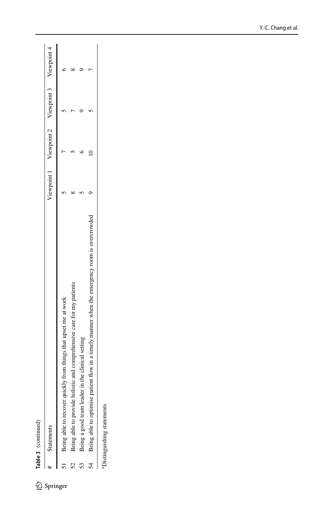Table 3 (continued)

|    | Statements                                                                                       |  | Viewpoint 1 Viewpoint 2 Viewpoint 3 Viewpoint 4 |  |
|----|--------------------------------------------------------------------------------------------------|--|-------------------------------------------------|--|
|    | from things that upset me at work<br>51 Being able to recover quickly                            |  |                                                 |  |
|    | Being able to provide holistic and comprehensive care for my patients                            |  |                                                 |  |
| 53 | the clinical setting<br>Being a good team leader in t                                            |  |                                                 |  |
|    | 54 Being able to optimise patient flow in a timely manner when the emergency room is overcrowded |  |                                                 |  |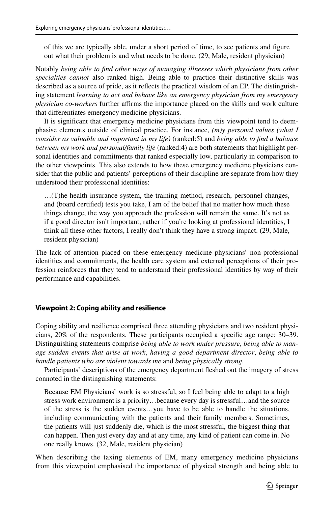of this we are typically able, under a short period of time, to see patients and fgure out what their problem is and what needs to be done. (29, Male, resident physician)

Notably *being able to fnd other ways of managing illnesses which physicians from other specialties cannot* also ranked high. Being able to practice their distinctive skills was described as a source of pride, as it refects the practical wisdom of an EP. The distinguishing statement *learning to act and behave like an emergency physician from my emergency physician co-workers* further affirms the importance placed on the skills and work culture that diferentiates emergency medicine physicians.

It is signifcant that emergency medicine physicians from this viewpoint tend to deemphasise elements outside of clinical practice. For instance, *(m)y personal values (what I consider as valuable and important in my life)* (ranked:5) and *being able to fnd a balance between my work and personal/family life* (ranked:4) are both statements that highlight personal identities and commitments that ranked especially low, particularly in comparison to the other viewpoints. This also extends to how these emergency medicine physicians consider that the public and patients' perceptions of their discipline are separate from how they understood their professional identities:

…(T)he health insurance system, the training method, research, personnel changes, and (board certifed) tests you take, I am of the belief that no matter how much these things change, the way you approach the profession will remain the same. It's not as if a good director isn't important, rather if you're looking at professional identities, I think all these other factors, I really don't think they have a strong impact. (29, Male, resident physician)

The lack of attention placed on these emergency medicine physicians' non-professional identities and commitments, the health care system and external perceptions of their profession reinforces that they tend to understand their professional identities by way of their performance and capabilities.

## **Viewpoint 2: Coping ability and resilience**

Coping ability and resilience comprised three attending physicians and two resident physicians, 20% of the respondents. These participants occupied a specifc age range: 30–39. Distinguishing statements comprise *being able to work under pressure*, *being able to manage sudden events that arise at work*, *having a good department director*, *being able to handle patients who are violent towards me* and *being physically strong.*

Participants' descriptions of the emergency department feshed out the imagery of stress connoted in the distinguishing statements:

Because EM Physicians' work is so stressful, so I feel being able to adapt to a high stress work environment is a priority…because every day is stressful…and the source of the stress is the sudden events…you have to be able to handle the situations, including communicating with the patients and their family members. Sometimes, the patients will just suddenly die, which is the most stressful, the biggest thing that can happen. Then just every day and at any time, any kind of patient can come in. No one really knows. (32, Male, resident physician)

When describing the taxing elements of EM, many emergency medicine physicians from this viewpoint emphasised the importance of physical strength and being able to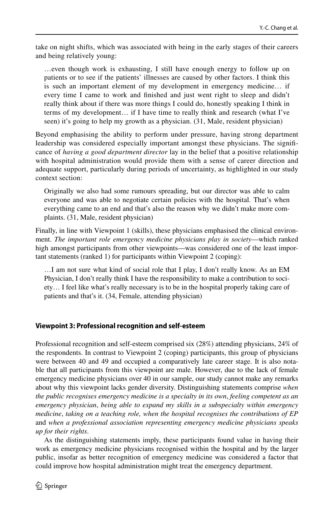take on night shifts, which was associated with being in the early stages of their careers and being relatively young:

…even though work is exhausting, I still have enough energy to follow up on patients or to see if the patients' illnesses are caused by other factors. I think this is such an important element of my development in emergency medicine… if every time I came to work and fnished and just went right to sleep and didn't really think about if there was more things I could do, honestly speaking I think in terms of my development… if I have time to really think and research (what I've seen) it's going to help my growth as a physician. (31, Male, resident physician)

Beyond emphasising the ability to perform under pressure, having strong department leadership was considered especially important amongst these physicians. The signifcance of *having a good department director* lay in the belief that a positive relationship with hospital administration would provide them with a sense of career direction and adequate support, particularly during periods of uncertainty, as highlighted in our study context section:

Originally we also had some rumours spreading, but our director was able to calm everyone and was able to negotiate certain policies with the hospital. That's when everything came to an end and that's also the reason why we didn't make more complaints. (31, Male, resident physician)

Finally, in line with Viewpoint 1 (skills), these physicians emphasised the clinical environment. *The important role emergency medicine physicians play in society*—which ranked high amongst participants from other viewpoints—was considered one of the least important statements (ranked 1) for participants within Viewpoint 2 (coping):

…I am not sure what kind of social role that I play, I don't really know. As an EM Physician, I don't really think I have the responsibility to make a contribution to society… I feel like what's really necessary is to be in the hospital properly taking care of patients and that's it. (34, Female, attending physician)

## **Viewpoint 3: Professional recognition and self‑esteem**

Professional recognition and self-esteem comprised six (28%) attending physicians, 24% of the respondents. In contrast to Viewpoint 2 (coping) participants, this group of physicians were between 40 and 49 and occupied a comparatively late career stage. It is also notable that all participants from this viewpoint are male. However, due to the lack of female emergency medicine physicians over 40 in our sample, our study cannot make any remarks about why this viewpoint lacks gender diversity. Distinguishing statements comprise *when the public recognises emergency medicine is a specialty in its own*, *feeling competent as an emergency physician*, *being able to expand my skills in a subspecialty within emergency medicine*, *taking on a teaching role, when the hospital recognises the contributions of EP* and *when a professional association representing emergency medicine physicians speaks up for their rights*.

As the distinguishing statements imply, these participants found value in having their work as emergency medicine physicians recognised within the hospital and by the larger public, insofar as better recognition of emergency medicine was considered a factor that could improve how hospital administration might treat the emergency department.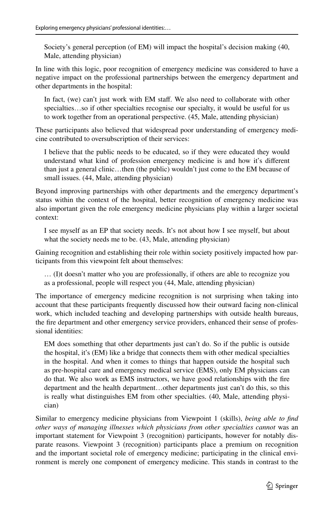Society's general perception (of EM) will impact the hospital's decision making (40, Male, attending physician)

In line with this logic, poor recognition of emergency medicine was considered to have a negative impact on the professional partnerships between the emergency department and other departments in the hospital:

In fact, (we) can't just work with EM staff. We also need to collaborate with other specialties...so if other specialties recognise our specialty, it would be useful for us to work together from an operational perspective. (45, Male, attending physician)

These participants also believed that widespread poor understanding of emergency medicine contributed to oversubscription of their services:

I believe that the public needs to be educated, so if they were educated they would understand what kind of profession emergency medicine is and how it's diferent than just a general clinic…then (the public) wouldn't just come to the EM because of small issues. (44, Male, attending physician)

Beyond improving partnerships with other departments and the emergency department's status within the context of the hospital, better recognition of emergency medicine was also important given the role emergency medicine physicians play within a larger societal context:

I see myself as an EP that society needs. It's not about how I see myself, but about what the society needs me to be.  $(43, Male, attending physician)$ 

Gaining recognition and establishing their role within society positively impacted how participants from this viewpoint felt about themselves:

… (I)t doesn't matter who you are professionally, if others are able to recognize you as a professional, people will respect you (44, Male, attending physician)

The importance of emergency medicine recognition is not surprising when taking into account that these participants frequently discussed how their outward facing non-clinical work, which included teaching and developing partnerships with outside health bureaus, the fre department and other emergency service providers, enhanced their sense of professional identities:

EM does something that other departments just can't do. So if the public is outside the hospital, it's (EM) like a bridge that connects them with other medical specialties in the hospital. And when it comes to things that happen outside the hospital such as pre-hospital care and emergency medical service (EMS), only EM physicians can do that. We also work as EMS instructors, we have good relationships with the fre department and the health department…other departments just can't do this, so this is really what distinguishes EM from other specialties. (40, Male, attending physician)

Similar to emergency medicine physicians from Viewpoint 1 (skills), *being able to fnd other ways of managing illnesses which physicians from other specialties cannot* was an important statement for Viewpoint 3 (recognition) participants, however for notably disparate reasons. Viewpoint 3 (recognition) participants place a premium on recognition and the important societal role of emergency medicine; participating in the clinical environment is merely one component of emergency medicine. This stands in contrast to the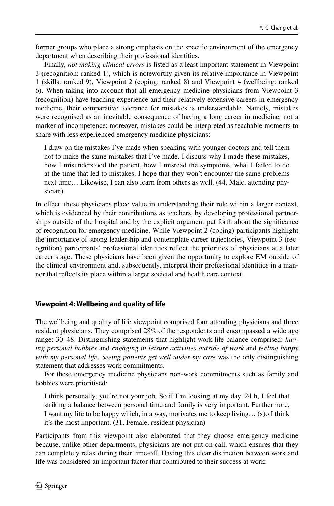former groups who place a strong emphasis on the specifc environment of the emergency department when describing their professional identities.

Finally, *not making clinical errors* is listed as a least important statement in Viewpoint 3 (recognition: ranked 1), which is noteworthy given its relative importance in Viewpoint 1 (skills: ranked 9), Viewpoint 2 (coping: ranked 8) and Viewpoint 4 (wellbeing: ranked 6). When taking into account that all emergency medicine physicians from Viewpoint 3 (recognition) have teaching experience and their relatively extensive careers in emergency medicine, their comparative tolerance for mistakes is understandable. Namely, mistakes were recognised as an inevitable consequence of having a long career in medicine, not a marker of incompetence; moreover, mistakes could be interpreted as teachable moments to share with less experienced emergency medicine physicians:

I draw on the mistakes I've made when speaking with younger doctors and tell them not to make the same mistakes that I've made. I discuss why I made these mistakes, how I misunderstood the patient, how I misread the symptoms, what I failed to do at the time that led to mistakes. I hope that they won't encounter the same problems next time… Likewise, I can also learn from others as well. (44, Male, attending physician)

In efect, these physicians place value in understanding their role within a larger context, which is evidenced by their contributions as teachers, by developing professional partnerships outside of the hospital and by the explicit argument put forth about the signifcance of recognition for emergency medicine. While Viewpoint 2 (coping) participants highlight the importance of strong leadership and contemplate career trajectories, Viewpoint 3 (recognition) participants' professional identities refect the priorities of physicians at a later career stage. These physicians have been given the opportunity to explore EM outside of the clinical environment and, subsequently, interpret their professional identities in a manner that refects its place within a larger societal and health care context.

## **Viewpoint 4: Wellbeing and quality of life**

The wellbeing and quality of life viewpoint comprised four attending physicians and three resident physicians. They comprised 28% of the respondents and encompassed a wide age range: 30–48. Distinguishing statements that highlight work-life balance comprised: *having personal hobbies* and *engaging in leisure activities outside of work* and *feeling happy with my personal life*. *Seeing patients get well under my care* was the only distinguishing statement that addresses work commitments.

For these emergency medicine physicians non-work commitments such as family and hobbies were prioritised:

I think personally, you're not your job. So if I'm looking at my day, 24 h, I feel that striking a balance between personal time and family is very important. Furthermore, I want my life to be happy which, in a way, motivates me to keep living… (s)o I think it's the most important. (31, Female, resident physician)

Participants from this viewpoint also elaborated that they choose emergency medicine because, unlike other departments, physicians are not put on call, which ensures that they can completely relax during their time-of. Having this clear distinction between work and life was considered an important factor that contributed to their success at work: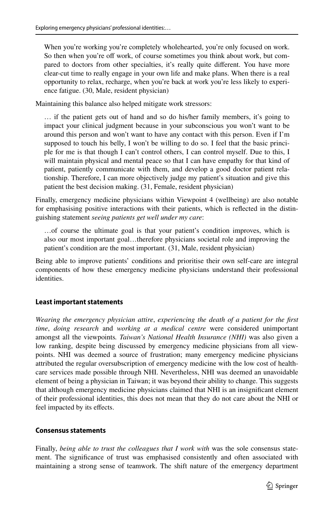When you're working you're completely wholehearted, you're only focused on work. So then when you're off work, of course sometimes you think about work, but compared to doctors from other specialties, it's really quite diferent. You have more clear-cut time to really engage in your own life and make plans. When there is a real opportunity to relax, recharge, when you're back at work you're less likely to experience fatigue. (30, Male, resident physician)

Maintaining this balance also helped mitigate work stressors:

… if the patient gets out of hand and so do his/her family members, it's going to impact your clinical judgment because in your subconscious you won't want to be around this person and won't want to have any contact with this person. Even if I'm supposed to touch his belly, I won't be willing to do so. I feel that the basic principle for me is that though I can't control others, I can control myself. Due to this, I will maintain physical and mental peace so that I can have empathy for that kind of patient, patiently communicate with them, and develop a good doctor patient relationship. Therefore, I can more objectively judge my patient's situation and give this patient the best decision making. (31, Female, resident physician)

Finally, emergency medicine physicians within Viewpoint 4 (wellbeing) are also notable for emphasising positive interactions with their patients, which is refected in the distinguishing statement *seeing patients get well under my care*:

…of course the ultimate goal is that your patient's condition improves, which is also our most important goal…therefore physicians societal role and improving the patient's condition are the most important. (31, Male, resident physician)

Being able to improve patients' conditions and prioritise their own self-care are integral components of how these emergency medicine physicians understand their professional identities.

## **Least important statements**

*Wearing the emergency physician attire*, *experiencing the death of a patient for the frst time*, *doing research* and *working at a medical centre* were considered unimportant amongst all the viewpoints*. Taiwan's National Health Insurance (NHI)* was also given a low ranking, despite being discussed by emergency medicine physicians from all viewpoints. NHI was deemed a source of frustration; many emergency medicine physicians attributed the regular oversubscription of emergency medicine with the low cost of healthcare services made possible through NHI. Nevertheless, NHI was deemed an unavoidable element of being a physician in Taiwan; it was beyond their ability to change. This suggests that although emergency medicine physicians claimed that NHI is an insignifcant element of their professional identities, this does not mean that they do not care about the NHI or feel impacted by its efects.

## **Consensus statements**

Finally, *being able to trust the colleagues that I work with* was the sole consensus statement. The signifcance of trust was emphasised consistently and often associated with maintaining a strong sense of teamwork. The shift nature of the emergency department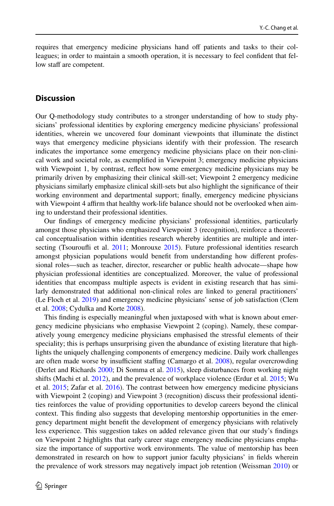requires that emergency medicine physicians hand off patients and tasks to their colleagues; in order to maintain a smooth operation, it is necessary to feel confdent that fellow staff are competent.

#### **Discussion**

Our Q-methodology study contributes to a stronger understanding of how to study physicians' professional identities by exploring emergency medicine physicians' professional identities, wherein we uncovered four dominant viewpoints that illuminate the distinct ways that emergency medicine physicians identify with their profession. The research indicates the importance some emergency medicine physicians place on their non-clinical work and societal role, as exemplifed in Viewpoint 3; emergency medicine physicians with Viewpoint 1, by contrast, refect how some emergency medicine physicians may be primarily driven by emphasizing their clinical skill-set; Viewpoint 2 emergency medicine physicians similarly emphasize clinical skill-sets but also highlight the signifcance of their working environment and departmental support; fnally, emergency medicine physicians with Viewpoint 4 affirm that healthy work-life balance should not be overlooked when aiming to understand their professional identities.

Our fndings of emergency medicine physicians' professional identities, particularly amongst those physicians who emphasized Viewpoint 3 (recognition), reinforce a theoretical conceptualisation within identities research whereby identities are multiple and inter-secting (Tsouroufli et al. [2011](#page-20-11); Monrouxe [2015\)](#page-19-11). Future professional identities research amongst physician populations would beneft from understanding how diferent professional roles—such as teacher, director, researcher or public health advocate—shape how physician professional identities are conceptualized. Moreover, the value of professional identities that encompass multiple aspects is evident in existing research that has similarly demonstrated that additional non-clinical roles are linked to general practitioners' (Le Floch et al. [2019\)](#page-19-12) and emergency medicine physicians' sense of job satisfaction (Clem et al. [2008;](#page-18-7) Cydulka and Korte [2008](#page-18-8)).

This fnding is especially meaningful when juxtaposed with what is known about emergency medicine physicians who emphasise Viewpoint 2 (coping). Namely, these comparatively young emergency medicine physicians emphasised the stressful elements of their speciality; this is perhaps unsurprising given the abundance of existing literature that highlights the uniquely challenging components of emergency medicine. Daily work challenges are often made worse by insufficient staffing (Camargo et al. [2008](#page-18-9)), regular overcrowding (Derlet and Richards [2000;](#page-19-13) Di Somma et al. [2015](#page-19-14)), sleep disturbances from working night shifts (Machi et al. [2012](#page-19-15)), and the prevalence of workplace violence (Erdur et al. [2015](#page-19-16); Wu et al. [2015;](#page-20-12) Zafar et al. [2016\)](#page-20-13). The contrast between how emergency medicine physicians with Viewpoint 2 (coping) and Viewpoint 3 (recognition) discuss their professional identities reinforces the value of providing opportunities to develop careers beyond the clinical context. This fnding also suggests that developing mentorship opportunities in the emergency department might beneft the development of emergency physicians with relatively less experience. This suggestion takes on added relevance given that our study's fndings on Viewpoint 2 highlights that early career stage emergency medicine physicians emphasize the importance of supportive work environments. The value of mentorship has been demonstrated in research on how to support junior faculty physicians' in felds wherein the prevalence of work stressors may negatively impact job retention (Weissman [2010\)](#page-20-14) or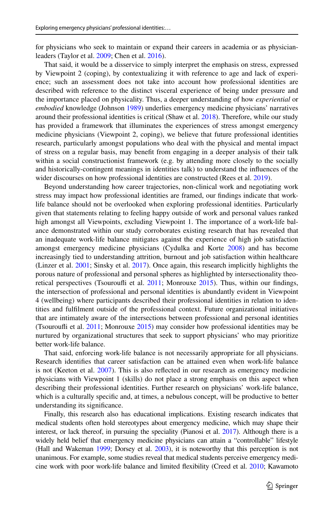for physicians who seek to maintain or expand their careers in academia or as physicianleaders (Taylor et al. [2009;](#page-20-15) Chen et al. [2016](#page-18-10)).

That said, it would be a disservice to simply interpret the emphasis on stress, expressed by Viewpoint 2 (coping), by contextualizing it with reference to age and lack of experience; such an assessment does not take into account how professional identities are described with reference to the distinct visceral experience of being under pressure and the importance placed on physicality. Thus, a deeper understanding of how *experiential* or *embodied* knowledge (Johnson [1989\)](#page-19-17) underlies emergency medicine physicians' narratives around their professional identities is critical (Shaw et al. [2018](#page-20-16)). Therefore, while our study has provided a framework that illuminates the experiences of stress amongst emergency medicine physicians (Viewpoint 2, coping), we believe that future professional identities research, particularly amongst populations who deal with the physical and mental impact of stress on a regular basis, may beneft from engaging in a deeper analysis of their talk within a social constructionist framework (e.g. by attending more closely to the socially and historically-contingent meanings in identities talk) to understand the infuences of the wider discourses on how professional identities are constructed (Rees et al. [2019\)](#page-20-2).

Beyond understanding how career trajectories, non-clinical work and negotiating work stress may impact how professional identities are framed, our fndings indicate that worklife balance should not be overlooked when exploring professional identities. Particularly given that statements relating to feeling happy outside of work and personal values ranked high amongst all Viewpoints, excluding Viewpoint 1. The importance of a work-life balance demonstrated within our study corroborates existing research that has revealed that an inadequate work-life balance mitigates against the experience of high job satisfaction amongst emergency medicine physicians (Cydulka and Korte [2008\)](#page-18-8) and has become increasingly tied to understanding attrition, burnout and job satisfaction within healthcare (Linzer et al. [2001](#page-19-18); Sinsky et al. [2017\)](#page-20-17). Once again, this research implicitly highlights the porous nature of professional and personal spheres as highlighted by intersectionality theo-retical perspectives (Tsouroufli et al. [2011;](#page-20-11) Monrouxe [2015](#page-19-11)). Thus, within our findings, the intersection of professional and personal identities is abundantly evident in Viewpoint 4 (wellbeing) where participants described their professional identities in relation to identities and fulflment outside of the professional context. Future organizational initiatives that are intimately aware of the intersections between professional and personal identities (Tsouroufi et al. [2011;](#page-20-11) Monrouxe [2015](#page-19-11)) may consider how professional identities may be nurtured by organizational structures that seek to support physicians' who may prioritize better work-life balance.

That said, enforcing work-life balance is not necessarily appropriate for all physicians. Research identifes that career satisfaction can be attained even when work-life balance is not (Keeton et al. [2007](#page-19-19)). This is also refected in our research as emergency medicine physicians with Viewpoint 1 (skills) do not place a strong emphasis on this aspect when describing their professional identities. Further research on physicians' work-life balance, which is a culturally specifc and, at times, a nebulous concept, will be productive to better understanding its signifcance.

Finally, this research also has educational implications. Existing research indicates that medical students often hold stereotypes about emergency medicine, which may shape their interest, or lack thereof, in pursuing the speciality (Pianosi et al. [2017](#page-20-18)). Although there is a widely held belief that emergency medicine physicians can attain a "controllable" lifestyle (Hall and Wakeman [1999](#page-19-20); Dorsey et al. [2003](#page-19-21)), it is noteworthy that this perception is not unanimous. For example, some studies reveal that medical students perceive emergency medicine work with poor work-life balance and limited fexibility (Creed et al. [2010;](#page-18-11) Kawamoto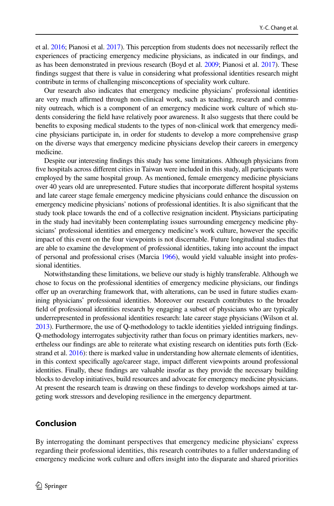et al. [2016](#page-19-22); Pianosi et al. [2017\)](#page-20-18). This perception from students does not necessarily refect the experiences of practicing emergency medicine physicians, as indicated in our fndings, and as has been demonstrated in previous research (Boyd et al. [2009;](#page-18-12) Pianosi et al. [2017](#page-20-18)). These fndings suggest that there is value in considering what professional identities research might contribute in terms of challenging misconceptions of speciality work culture.

Our research also indicates that emergency medicine physicians' professional identities are very much affirmed through non-clinical work, such as teaching, research and community outreach, which is a component of an emergency medicine work culture of which students considering the feld have relatively poor awareness. It also suggests that there could be benefts to exposing medical students to the types of non-clinical work that emergency medicine physicians participate in, in order for students to develop a more comprehensive grasp on the diverse ways that emergency medicine physicians develop their careers in emergency medicine.

Despite our interesting fndings this study has some limitations. Although physicians from fve hospitals across diferent cities in Taiwan were included in this study, all participants were employed by the same hospital group. As mentioned, female emergency medicine physicians over 40 years old are unrepresented. Future studies that incorporate diferent hospital systems and late career stage female emergency medicine physicians could enhance the discussion on emergency medicine physicians' notions of professional identities. It is also signifcant that the study took place towards the end of a collective resignation incident. Physicians participating in the study had inevitably been contemplating issues surrounding emergency medicine physicians' professional identities and emergency medicine's work culture, however the specifc impact of this event on the four viewpoints is not discernable. Future longitudinal studies that are able to examine the development of professional identities, taking into account the impact of personal and professional crises (Marcia [1966](#page-19-23)), would yield valuable insight into professional identities.

Notwithstanding these limitations, we believe our study is highly transferable. Although we chose to focus on the professional identities of emergency medicine physicians, our fndings ofer up an overarching framework that, with alterations, can be used in future studies examining physicians' professional identities. Moreover our research contributes to the broader feld of professional identities research by engaging a subset of physicians who are typically underrepresented in professional identities research: late career stage physicians (Wilson et al. [2013](#page-20-19)). Furthermore, the use of Q-methodology to tackle identities yielded intriguing fndings. Q-methodology interrogates subjectivity rather than focus on primary identities markers, nevertheless our fndings are able to reiterate what existing research on identities puts forth (Eckstrand et al. [2016](#page-19-24)): there is marked value in understanding how alternate elements of identities, in this context specifcally age/career stage, impact diferent viewpoints around professional identities. Finally, these fndings are valuable insofar as they provide the necessary building blocks to develop initiatives, build resources and advocate for emergency medicine physicians. At present the research team is drawing on these fndings to develop workshops aimed at targeting work stressors and developing resilience in the emergency department.

## **Conclusion**

By interrogating the dominant perspectives that emergency medicine physicians' express regarding their professional identities, this research contributes to a fuller understanding of emergency medicine work culture and offers insight into the disparate and shared priorities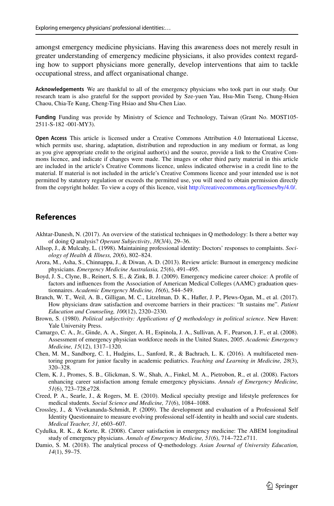amongst emergency medicine physicians. Having this awareness does not merely result in greater understanding of emergency medicine physicians, it also provides context regarding how to support physicians more generally, develop interventions that aim to tackle occupational stress, and afect organisational change.

**Acknowledgements** We are thankful to all of the emergency physicians who took part in our study. Our research team is also grateful for the support provided by Sze-yuen Yau, Hsu-Min Tseng, Chung-Hsien Chaou, Chia-Te Kung, Cheng-Ting Hsiao and Shu-Chen Liao.

**Funding** Funding was provide by Ministry of Science and Technology, Taiwan (Grant No. MOST105- 2511-S-182 -001-MY3).

**Open Access** This article is licensed under a Creative Commons Attribution 4.0 International License, which permits use, sharing, adaptation, distribution and reproduction in any medium or format, as long as you give appropriate credit to the original author(s) and the source, provide a link to the Creative Commons licence, and indicate if changes were made. The images or other third party material in this article are included in the article's Creative Commons licence, unless indicated otherwise in a credit line to the material. If material is not included in the article's Creative Commons licence and your intended use is not permitted by statutory regulation or exceeds the permitted use, you will need to obtain permission directly from the copyright holder. To view a copy of this licence, visit [http://creativecommons.org/licenses/by/4.0/.](http://creativecommons.org/licenses/by/4.0/)

## **References**

- <span id="page-18-5"></span>Akhtar-Danesh, N. (2017). An overview of the statistical techniques in Q methodology: Is there a better way of doing Q analysis? *Operant Subjectivity*, *38*(3/4), 29–36.
- <span id="page-18-0"></span>Allsop, J., & Mulcahy, L. (1998). Maintaining professional identity: Doctors' responses to complaints. *Sociology of Health & Illness, 20*(6), 802–824.
- <span id="page-18-3"></span>Arora, M., Asha, S., Chinnappa, J., & Diwan, A. D. (2013). Review article: Burnout in emergency medicine physicians. *Emergency Medicine Australasia, 25*(6), 491–495.
- <span id="page-18-12"></span>Boyd, J. S., Clyne, B., Reinert, S. E., & Zink, B. J. (2009). Emergency medicine career choice: A profle of factors and infuences from the Association of American Medical Colleges (AAMC) graduation questionnaires. *Academic Emergency Medicine, 16*(6), 544–549.
- <span id="page-18-2"></span>Branch, W. T., Weil, A. B., Gilligan, M. C., Litzelman, D. K., Hafer, J. P., Plews-Ogan, M., et al. (2017). How physicians draw satisfaction and overcome barriers in their practices: "It sustains me". *Patient Education and Counseling, 100*(12), 2320–2330.
- <span id="page-18-4"></span>Brown, S. (1980). *Political subjectivity: Applications of Q methodology in political science*. New Haven: Yale University Press.
- <span id="page-18-9"></span>Camargo, C. A., Jr., Ginde, A. A., Singer, A. H., Espinola, J. A., Sullivan, A. F., Pearson, J. F., et al. (2008). Assessment of emergency physician workforce needs in the United States, 2005. *Academic Emergency Medicine, 15*(12), 1317–1320.
- <span id="page-18-10"></span>Chen, M. M., Sandborg, C. I., Hudgins, L., Sanford, R., & Bachrach, L. K. (2016). A multifaceted mentoring program for junior faculty in academic pediatrics. *Teaching and Learning in Medicine, 28*(3), 320–328.
- <span id="page-18-7"></span>Clem, K. J., Promes, S. B., Glickman, S. W., Shah, A., Finkel, M. A., Pietrobon, R., et al. (2008). Factors enhancing career satisfaction among female emergency physicians. *Annals of Emergency Medicine, 51*(6), 723–728.e728.
- <span id="page-18-11"></span>Creed, P. A., Searle, J., & Rogers, M. E. (2010). Medical specialty prestige and lifestyle preferences for medical students. *Social Science and Medicine, 71*(6), 1084–1088.
- <span id="page-18-1"></span>Crossley, J., & Vivekananda-Schmidt, P. (2009). The development and evaluation of a Professional Self Identity Questionnaire to measure evolving professional self-identity in health and social care students. *Medical Teacher, 31,* e603–607.
- <span id="page-18-8"></span>Cydulka, R. K., & Korte, R. (2008). Career satisfaction in emergency medicine: The ABEM longitudinal study of emergency physicians. *Annals of Emergency Medicine, 51*(6), 714–722.e711.
- <span id="page-18-6"></span>Damio, S. M. (2018). The analytical process of Q-methodology. *Asian Journal of University Education, 14*(1), 59–75.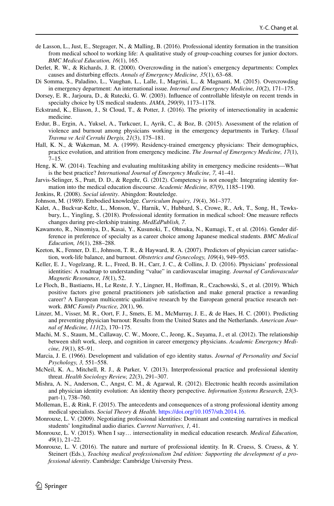- <span id="page-19-1"></span>de Lasson, L., Just, E., Stegeager, N., & Malling, B. (2016). Professional identity formation in the transition from medical school to working life: A qualitative study of group-coaching courses for junior doctors. *BMC Medical Education, 16*(1), 165.
- <span id="page-19-13"></span>Derlet, R. W., & Richards, J. R. (2000). Overcrowding in the nation's emergency departments: Complex causes and disturbing efects. *Annals of Emergency Medicine, 35*(1), 63–68.
- <span id="page-19-14"></span>Di Somma, S., Paladino, L., Vaughan, L., Lalle, I., Magrini, L., & Magnanti, M. (2015). Overcrowding in emergency department: An international issue. *Internal and Emergency Medicine, 10*(2), 171–175.
- <span id="page-19-21"></span>Dorsey, E. R., Jarjoura, D., & Rutecki, G. W. (2003). Infuence of controllable lifestyle on recent trends in specialty choice by US medical students. *JAMA, 290*(9), 1173–1178.
- <span id="page-19-24"></span>Eckstrand, K., Eliason, J., St Cloud, T., & Potter, J. (2016). The priority of intersectionality in academic medicine.
- <span id="page-19-16"></span>Erdur, B., Ergin, A., Yuksel, A., Turkcuer, I., Ayrik, C., & Boz, B. (2015). Assessment of the relation of violence and burnout among physicians working in the emergency departments in Turkey. *Ulusal Travma ve Acil Cerrahi Dergis, 21*(3), 175–181.
- <span id="page-19-20"></span>Hall, K. N., & Wakeman, M. A. (1999). Residency-trained emergency physicians: Their demographics, practice evolution, and attrition from emergency medicine. *The Journal of Emergency Medicine, 17*(1), 7–15.
- <span id="page-19-10"></span>Heng, K. W. (2014). Teaching and evaluating multitasking ability in emergency medicine residents—What is the best practice? *International Journal of Emergency Medicine, 7,* 41–41.
- <span id="page-19-8"></span>Jarvis-Selinger, S., Pratt, D. D., & Regehr, G. (2012). Competency is not enough: Integrating identity formation into the medical education discourse. *Academic Medicine, 87*(9), 1185–1190.
- <span id="page-19-7"></span>Jenkins, R. (2008). *Social identity*. Abingdon: Routeledge.
- <span id="page-19-17"></span>Johnson, M. (1989). Embodied knowledge. *Curriculum Inquiry, 19*(4), 361–377.
- <span id="page-19-6"></span>Kalet, A., Buckvar-Keltz, L., Monson, V., Harnik, V., Hubbard, S., Crowe, R., Ark, T., Song, H., Tewksbury, L., Yingling, S. (2018). Professional identity formation in medical school: One measure refects changes during pre-clerkship training. *MedEdPublish, 7*.
- <span id="page-19-22"></span>Kawamoto, R., Ninomiya, D., Kasai, Y., Kusunoki, T., Ohtsuka, N., Kumagi, T., et al. (2016). Gender difference in preference of specialty as a career choice among Japanese medical students. *BMC Medical Education, 16*(1), 288–288.
- <span id="page-19-19"></span>Keeton, K., Fenner, D. E., Johnson, T. R., & Hayward, R. A. (2007). Predictors of physician career satisfaction, work-life balance, and burnout. *Obstetrics and Gynecology, 109*(4), 949–955.
- <span id="page-19-4"></span>Keller, E. J., Vogelzang, R. L., Freed, B. H., Carr, J. C., & Collins, J. D. (2016). Physicians' professional identities: A roadmap to understanding "value" in cardiovascular imaging. *Journal of Cardiovascular Magnetic Resonance, 18*(1), 52.
- <span id="page-19-12"></span>Le Floch, B., Bastiaens, H., Le Reste, J. Y., Lingner, H., Hofman, R., Czachowski, S., et al. (2019). Which positive factors give general practitioners job satisfaction and make general practice a rewarding career? A European multicentric qualitative research by the European general practice research network. *BMC Family Practice, 20*(1), 96.
- <span id="page-19-18"></span>Linzer, M., Visser, M. R., Oort, F. J., Smets, E. M., McMurray, J. E., & de Haes, H. C. (2001). Predicting and preventing physician burnout: Results from the United States and the Netherlands. *American Journal of Medicine, 111*(2), 170–175.
- <span id="page-19-15"></span>Machi, M. S., Staum, M., Callaway, C. W., Moore, C., Jeong, K., Suyama, J., et al. (2012). The relationship between shift work, sleep, and cognition in career emergency physicians. *Academic Emergency Medicine, 19*(1), 85–91.
- <span id="page-19-23"></span>Marcia, J. E. (1966). Development and validation of ego identity status. *Journal of Personality and Social Psychology, 3,* 551–558.
- <span id="page-19-0"></span>McNeil, K. A., Mitchell, R. J., & Parker, V. (2013). Interprofessional practice and professional identity threat. *Health Sociology Review, 22*(3), 291–307.
- <span id="page-19-3"></span>Mishra, A. N., Anderson, C., Angst, C. M., & Agarwal, R. (2012). Electronic health records assimilation and physician identity evolution: An identity theory perspective. *Information Systems Research, 23*(3 part-1), 738–760.
- <span id="page-19-5"></span>Molleman, E., & Rink, F. (2015). The antecedents and consequences of a strong professional identity among medical specialists. *Social Theory & Health*. [https://doi.org/10.1057/sth.2014.16.](https://doi.org/10.1057/sth.2014.16)
- <span id="page-19-9"></span>Monrouxe, L. V. (2009). Negotiating professional identities: Dominant and contesting narratives in medical students' longitudinal audio diaries. *Current Narratives, 1,* 41.
- <span id="page-19-11"></span>Monrouxe, L. V. (2015). When I say… intersectionality in medical education research. *Medical Education, 49*(1), 21–22.
- <span id="page-19-2"></span>Monrouxe, L. V. (2016). The nature and nurture of professional identity. In R. Cruess, S. Cruess, & Y. Steinert (Eds.), *Teaching medical professionalism 2nd edition: Supporting the development of a professional identity*. Cambridge: Cambridge University Press.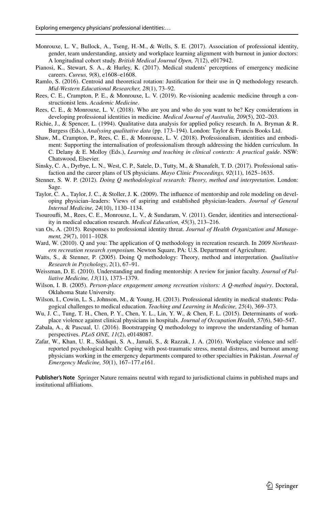- <span id="page-20-0"></span>Monrouxe, L. V., Bullock, A., Tseng, H.-M., & Wells, S. E. (2017). Association of professional identity, gender, team understanding, anxiety and workplace learning alignment with burnout in junior doctors: A longitudinal cohort study. *British Medical Journal Open, 7*(12), e017942.
- <span id="page-20-18"></span>Pianosi, K., Stewart, S. A., & Hurley, K. (2017). Medical students' perceptions of emergency medicine careers. *Cureus, 9*(8), e1608–e1608.
- <span id="page-20-10"></span>Ramlo, S. (2016). Centroid and theoretical rotation: Justifcation for their use in Q methodology research. *Mid-Western Educational Researcher, 28*(1), 73–92.
- <span id="page-20-2"></span>Rees, C. E., Crampton, P. E., & Monrouxe, L. V. (2019). Re-visioning academic medicine through a constructionist lens. *Academic Medicine*.
- <span id="page-20-3"></span>Rees, C. E., & Monrouxe, L. V. (2018). Who are you and who do you want to be? Key considerations in developing professional identities in medicine. *Medical Journal of Australia, 209*(5), 202–203.
- <span id="page-20-8"></span>Richie, J., & Spencer, L. (1994). Qualitative data analysis for applied policy research. In A. Bryman & R. Burgess (Eds.), *Analysing qualitative data* (pp. 173–194). London: Taylor & Francis Books Ltd.
- <span id="page-20-16"></span>Shaw, M., Crampton, P., Rees, C. E., & Monrouxe, L. V. (2018). Professionalism, identities and embodiment: Supporting the internalisation of professionalism through addressing the hidden curriculum. In C. Delany & E. Molloy (Eds.), *Learning and teaching in clinical contexts: A practical guide*. NSW: Chatswood, Elsevier.
- <span id="page-20-17"></span>Sinsky, C. A., Dyrbye, L. N., West, C. P., Satele, D., Tutty, M., & Shanafelt, T. D. (2017). Professional satisfaction and the career plans of US physicians. *Mayo Clinic Proceedings, 92*(11), 1625–1635.
- <span id="page-20-7"></span>Stenner, S. W. P. (2012). *Doing Q methodological research: Theory, method and interpretation*. London: Sage.
- <span id="page-20-15"></span>Taylor, C. A., Taylor, J. C., & Stoller, J. K. (2009). The infuence of mentorship and role modeling on developing physician–leaders: Views of aspiring and established physician-leaders. *Journal of General Internal Medicine, 24*(10), 1130–1134.
- <span id="page-20-11"></span>Tsouroufi, M., Rees, C. E., Monrouxe, L. V., & Sundaram, V. (2011). Gender, identities and intersectionality in medical education research. *Medical Education, 45*(3), 213–216.
- <span id="page-20-1"></span>van Os, A. (2015). Responses to professional identity threat. *Journal of Health Organization and Management, 29*(7), 1011–1028.
- <span id="page-20-6"></span>Ward, W. (2010). Q and you: The application of Q methodology in recreation research. In *2009 Northeastern recreation research symposium*. Newton Square, PA: U.S. Department of Agriculture.
- <span id="page-20-4"></span>Watts, S., & Stenner, P. (2005). Doing Q methodology: Theory, method and interpretation. *Qualitative Research in Psychology*, *2*(1), 67–91.
- <span id="page-20-14"></span>Weissman, D. E. (2010). Understanding and fnding mentorship: A review for junior faculty. *Journal of Palliative Medicine, 13*(11), 1373–1379.
- <span id="page-20-5"></span>Wilson, I. B. (2005). *Person-place engagement among recreation visitors: A Q-method inquiry*. Doctoral, Oklahoma State University.
- <span id="page-20-19"></span>Wilson, I., Cowin, L. S., Johnson, M., & Young, H. (2013). Professional identity in medical students: Pedagogical challenges to medical education. *Teaching and Learning in Medicine, 25*(4), 369–373.
- <span id="page-20-12"></span>Wu, J. C., Tung, T. H., Chen, P. Y., Chen, Y. L., Lin, Y. W., & Chen, F. L. (2015). Determinants of workplace violence against clinical physicians in hospitals. *Journal of Occupation Health, 57*(6), 540–547.
- <span id="page-20-9"></span>Zabala, A., & Pascual, U. (2016). Bootstrapping Q methodology to improve the understanding of human perspectives. *PLoS ONE, 11*(2), e0148087.
- <span id="page-20-13"></span>Zafar, W., Khan, U. R., Siddiqui, S. A., Jamali, S., & Razzak, J. A. (2016). Workplace violence and selfreported psychological health: Coping with post-traumatic stress, mental distress, and burnout among physicians working in the emergency departments compared to other specialties in Pakistan. *Journal of Emergency Medicine, 50*(1), 167–177.e161.

**Publisher's Note** Springer Nature remains neutral with regard to jurisdictional claims in published maps and institutional affiliations.